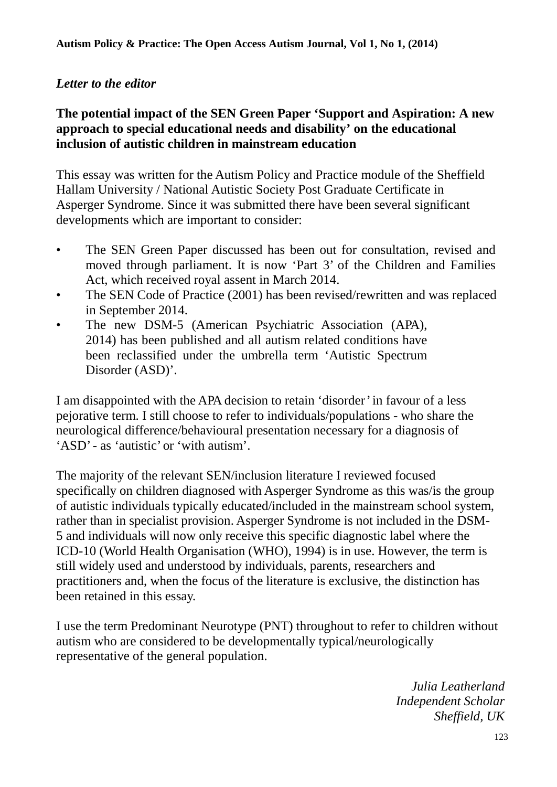## *Letter to the editor*

## **[The potential impact of the SEN Green Paper 'Support and Aspiration: A new](http://www.openaccessautism.org/index.php/app/article/view/5)  [approach to special educational needs and disability' on the educational](http://www.openaccessautism.org/index.php/app/article/view/5)  [inclusion of autistic children in mainstream education](http://www.openaccessautism.org/index.php/app/article/view/5)**

This essay was written for the Autism Policy and Practice module of the Sheffield Hallam University / National Autistic Society Post Graduate Certificate in Asperger Syndrome. Since it was submitted there have been several significant developments which are important to consider:

- The SEN Green Paper discussed has been out for consultation, revised and moved through parliament. It is now 'Part 3' of the Children and Families Act, which received royal assent in March 2014.
- The SEN Code of Practice (2001) has been revised/rewritten and was replaced in September 2014.
- The new DSM-5 (American Psychiatric Association (APA), 2014) has been published and all autism related conditions have been reclassified under the umbrella term 'Autistic Spectrum Disorder (ASD)'.

I am disappointed with the APA decision to retain 'disorder'in favour of a less pejorative term. I still choose to refer to individuals/populations - who share the neurological difference/behavioural presentation necessary for a diagnosis of 'ASD'- as 'autistic' or 'with autism'.

The majority of the relevant SEN/inclusion literature I reviewed focused specifically on children diagnosed with Asperger Syndrome as this was/is the group of autistic individuals typically educated/included in the mainstream school system, rather than in specialist provision. Asperger Syndrome is not included in the DSM-5 and individuals will now only receive this specific diagnostic label where the ICD-10 (World Health Organisation (WHO), 1994) is in use. However, the term is still widely used and understood by individuals, parents, researchers and practitioners and, when the focus of the literature is exclusive, the distinction has been retained in this essay.

I use the term Predominant Neurotype (PNT) throughout to refer to children without autism who are considered to be developmentally typical/neurologically representative of the general population.

> *Julia Leatherland Independent Scholar Sheffield, UK*